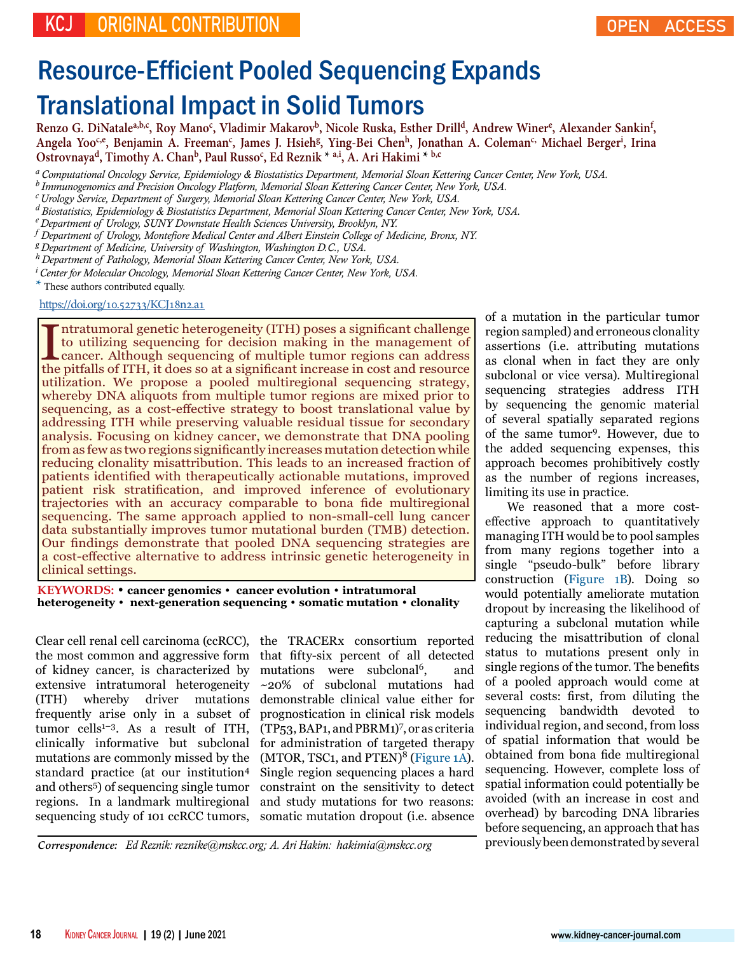# Resource-Efficient Pooled Sequencing Expands Translational Impact in Solid Tumors

Renzo G. DiNatale<sup>a,b,c</sup>, Roy Mano<sup>c</sup>, Vladimir Makarov<sup>b</sup>, Nicole Ruska, Esther Drill<sup>d</sup>, Andrew Winer<sup>e</sup>, Alexander Sankin<sup>f</sup>, Angela Yoo<sup>c,e</sup>, Benjamin A. Freeman<sup>c</sup>, James J. Hsieh<sup>g</sup>, Ying-Bei Chen<sup>h</sup>, Jonathan A. Coleman<sup>c,</sup> Michael Berger<sup>i</sup>, Irina **Ostrovnayad, Timothy A. Chanb, Paul Russoc , Ed Reznik \* a,i, A. Ari Hakimi \* b,<sup>c</sup>**

*a Computational Oncology Service, Epidemiology & Biostatistics Department, Memorial Sloan Kettering Cancer Center, New York, USA.*

*b Immunogenomics and Precision Oncology Platform, Memorial Sloan Kettering Cancer Center, New York, USA.*

*c Urology Service, Department of Surgery, Memorial Sloan Kettering Cancer Center, New York, USA.*

- *d Biostatistics, Epidemiology & Biostatistics Department, Memorial Sloan Kettering Cancer Center, New York, USA.*
- *e Department of Urology, SUNY Downstate Health Sciences University, Brooklyn, NY.*
- *f Department of Urology, Montefiore Medical Center and Albert Einstein College of Medicine, Bronx, NY.*
- *g Department of Medicine, University of Washington, Washington D.C., USA.*
- *h Department of Pathology, Memorial Sloan Kettering Cancer Center, New York, USA.*
- *i Center for Molecular Oncology, Memorial Sloan Kettering Cancer Center, New York, USA.*

 $*$  These authors contributed equally.

https://doi.org/10.52733/KCJ18n2.a1

Intratumoral genetic heterogeneity (ITH) poses a significant challenge to utilizing sequencing for decision making in the management of cancer. Although sequencing of multiple tumor regions can address the pitfalls of ITH, ntratumoral genetic heterogeneity (ITH) poses a significant challenge to utilizing sequencing for decision making in the management of cancer. Although sequencing of multiple tumor regions can address utilization. We propose a pooled multiregional sequencing strategy, whereby DNA aliquots from multiple tumor regions are mixed prior to sequencing, as a cost-effective strategy to boost translational value by addressing ITH while preserving valuable residual tissue for secondary analysis. Focusing on kidney cancer, we demonstrate that DNA pooling from as few as two regions significantly increases mutation detection while reducing clonality misattribution. This leads to an increased fraction of patients identified with therapeutically actionable mutations, improved patient risk stratification, and improved inference of evolutionary trajectories with an accuracy comparable to bona fide multiregional sequencing. The same approach applied to non-small-cell lung cancer data substantially improves tumor mutational burden (TMB) detection. Our findings demonstrate that pooled DNA sequencing strategies are a cost-effective alternative to address intrinsic genetic heterogeneity in clinical settings.

**KEYWORDS:** • **cancer genomics • cancer evolution • intratumoral heterogeneity • next-generation sequencing • somatic mutation • clonality** 

Clear cell renal cell carcinoma (ccRCC), the TRACERx consortium reported the most common and aggressive form that fifty-six percent of all detected of kidney cancer, is characterized by extensive intratumoral heterogeneity (ITH) whereby driver mutations frequently arise only in a subset of tumor cells<sup>1-3</sup>. As a result of ITH, clinically informative but subclonal mutations are commonly missed by the standard practice (at our institution<sup>4</sup> and others5) of sequencing single tumor regions. In a landmark multiregional

sequencing study of 101 ccRCC tumors, somatic mutation dropout (i.e. absence mutations were subclonal<sup>6</sup>, and ~20% of subclonal mutations had demonstrable clinical value either for prognostication in clinical risk models (TP53, BAP1, and PBRM1)<sup>7</sup> , or as criteria for administration of targeted therapy  $(MTOR, TSC1, and PTEM<sup>8</sup> (Figure 1A).$ Single region sequencing places a hard constraint on the sensitivity to detect and study mutations for two reasons:

*Correspondence: Ed Reznik: reznike@mskcc.org; A. Ari Hakim: hakimia@mskcc.org* 

of a mutation in the particular tumor region sampled) and erroneous clonality assertions (i.e. attributing mutations as clonal when in fact they are only subclonal or vice versa). Multiregional sequencing strategies address ITH by sequencing the genomic material of several spatially separated regions of the same tumor9. However, due to the added sequencing expenses, this approach becomes prohibitively costly as the number of regions increases, limiting its use in practice.

We reasoned that a more costeffective approach to quantitatively managing ITH would be to pool samples from many regions together into a single "pseudo-bulk" before library construction (Figure 1B). Doing so would potentially ameliorate mutation dropout by increasing the likelihood of capturing a subclonal mutation while reducing the misattribution of clonal status to mutations present only in single regions of the tumor. The benefits of a pooled approach would come at several costs: first, from diluting the sequencing bandwidth devoted to individual region, and second, from loss of spatial information that would be obtained from bona fide multiregional sequencing. However, complete loss of spatial information could potentially be avoided (with an increase in cost and overhead) by barcoding DNA libraries before sequencing, an approach that has previously been demonstrated by several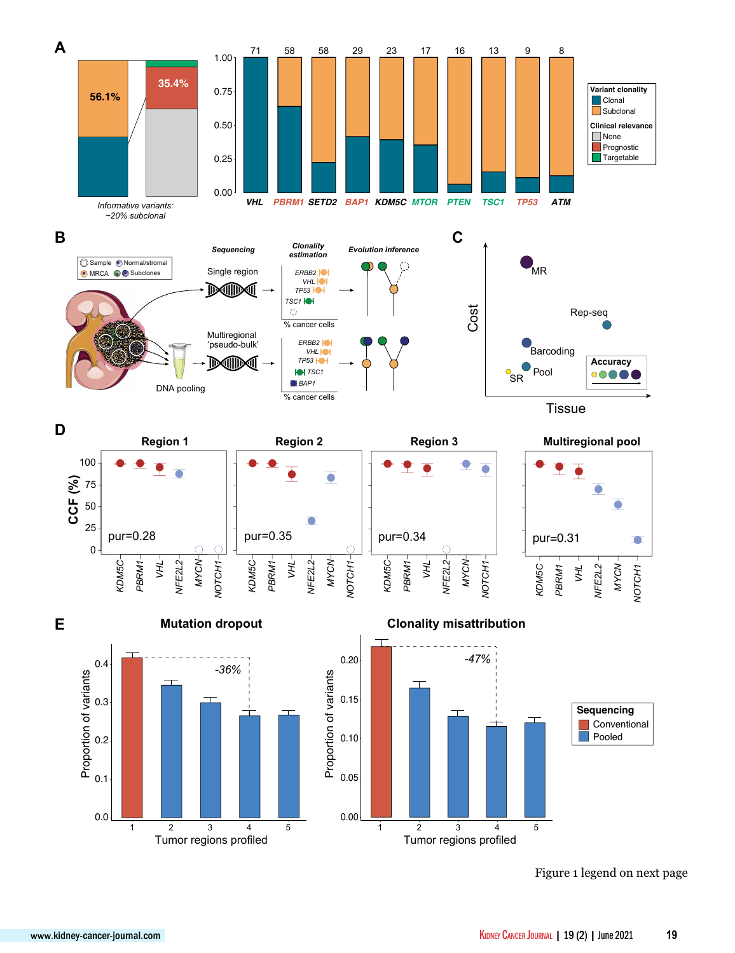

**Tissue** 



**E**

**Mutation dropout**



**Clonality misattribution**



Figure 1 legend on next page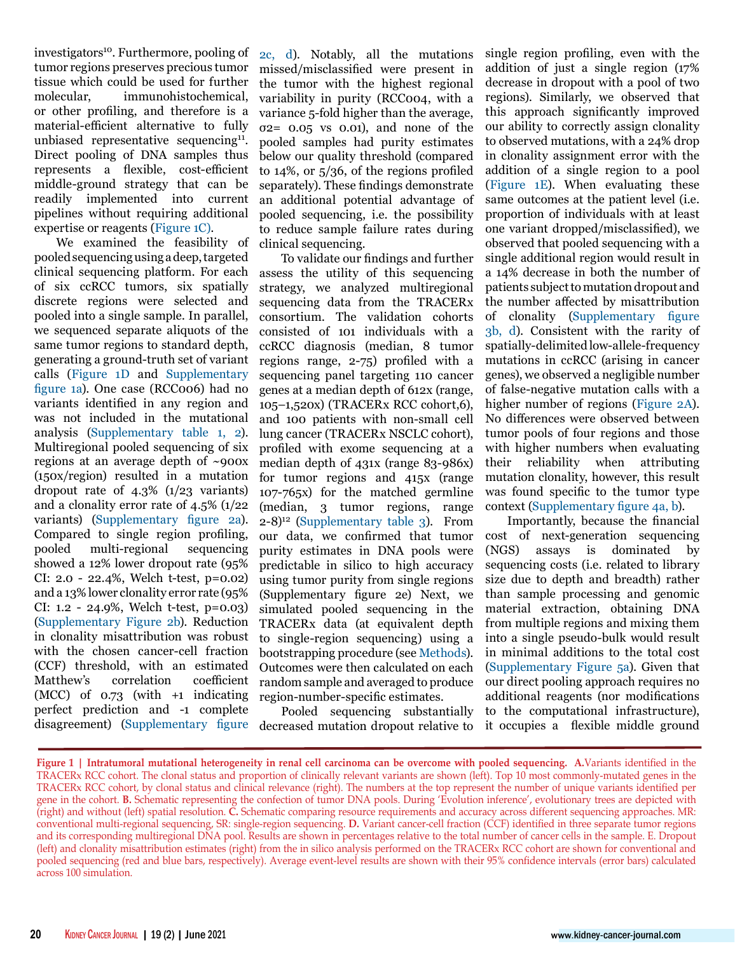investigators<sup>10</sup>. Furthermore, pooling of tumor regions preserves precious tumor tissue which could be used for further molecular, immunohistochemical, or other profiling, and therefore is a material-efficient alternative to fully unbiased representative sequencing<sup>11</sup>. Direct pooling of DNA samples thus represents a flexible, cost-efficient middle-ground strategy that can be readily implemented into current pipelines without requiring additional expertise or reagents (Figure 1C).

We examined the feasibility of pooled sequencing using a deep, targeted clinical sequencing platform. For each of six ccRCC tumors, six spatially discrete regions were selected and pooled into a single sample. In parallel, we sequenced separate aliquots of the same tumor regions to standard depth, generating a ground-truth set of variant calls (Figure 1D and Supplementary figure 1a). One case (RCC006) had no variants identified in any region and was not included in the mutational analysis (Supplementary table 1, 2). Multiregional pooled sequencing of six regions at an average depth of ~900x (150x/region) resulted in a mutation dropout rate of 4.3% (1/23 variants) and a clonality error rate of 4.5% (1/22 variants) (Supplementary figure 2a). Compared to single region profiling, pooled multi-regional sequencing showed a 12% lower dropout rate (95% CI: 2.0 - 22.4%, Welch t-test, p=0.02) and a 13% lower clonality error rate (95% CI: 1.2 - 24.9%, Welch t-test, p=0.03) (Supplementary Figure 2b). Reduction in clonality misattribution was robust with the chosen cancer-cell fraction (CCF) threshold, with an estimated Matthew's correlation coefficient (MCC) of 0.73 (with +1 indicating perfect prediction and -1 complete

2c, d). Notably, all the mutations missed/misclassified were present in the tumor with the highest regional variability in purity (RCC004, with a variance 5-fold higher than the average, σ2= 0.05 vs 0.01), and none of the pooled samples had purity estimates below our quality threshold (compared to 14%, or 5/36, of the regions profiled separately). These findings demonstrate an additional potential advantage of pooled sequencing, i.e. the possibility to reduce sample failure rates during clinical sequencing.

To validate our findings and further assess the utility of this sequencing strategy, we analyzed multiregional sequencing data from the TRACERx consortium. The validation cohorts consisted of 101 individuals with a ccRCC diagnosis (median, 8 tumor regions range, 2-75) profiled with a sequencing panel targeting 110 cancer genes at a median depth of 612x (range, 105–1,520x) (TRACERx RCC cohort,6), and 100 patients with non-small cell lung cancer (TRACERx NSCLC cohort), profiled with exome sequencing at a median depth of 431x (range 83-986x) for tumor regions and 415x (range 107-765x) for the matched germline (median, 3 tumor regions, range  $2-8$ <sup>12</sup> (Supplementary table 3). From our data, we confirmed that tumor purity estimates in DNA pools were predictable in silico to high accuracy using tumor purity from single regions (Supplementary figure 2e) Next, we simulated pooled sequencing in the TRACERx data (at equivalent depth to single-region sequencing) using a bootstrapping procedure (see Methods). Outcomes were then calculated on each random sample and averaged to produce region-number-specific estimates.

Pooled sequencing substantially disagreement) (Supplementary figure decreased mutation dropout relative to

single region profiling, even with the addition of just a single region (17% decrease in dropout with a pool of two regions). Similarly, we observed that this approach significantly improved our ability to correctly assign clonality to observed mutations, with a 24% drop in clonality assignment error with the addition of a single region to a pool (Figure 1E). When evaluating these same outcomes at the patient level (i.e. proportion of individuals with at least one variant dropped/misclassified), we observed that pooled sequencing with a single additional region would result in a 14% decrease in both the number of patients subject to mutation dropout and the number affected by misattribution of clonality (Supplementary figure 3b, d). Consistent with the rarity of spatially-delimited low-allele-frequency mutations in ccRCC (arising in cancer genes), we observed a negligible number of false-negative mutation calls with a higher number of regions (Figure 2A). No differences were observed between tumor pools of four regions and those with higher numbers when evaluating their reliability when attributing mutation clonality, however, this result was found specific to the tumor type context (Supplementary figure 4a, b).

Importantly, because the financial cost of next-generation sequencing (NGS) assays is dominated by sequencing costs (i.e. related to library size due to depth and breadth) rather than sample processing and genomic material extraction, obtaining DNA from multiple regions and mixing them into a single pseudo-bulk would result in minimal additions to the total cost (Supplementary Figure 5a). Given that our direct pooling approach requires no additional reagents (nor modifications to the computational infrastructure), it occupies a flexible middle ground

**Figure 1 | Intratumoral mutational heterogeneity in renal cell carcinoma can be overcome with pooled sequencing. A.**Variants identified in the TRACERx RCC cohort. The clonal status and proportion of clinically relevant variants are shown (left). Top 10 most commonly-mutated genes in the TRACERx RCC cohort, by clonal status and clinical relevance (right). The numbers at the top represent the number of unique variants identified per gene in the cohort. **B.** Schematic representing the confection of tumor DNA pools. During 'Evolution inference', evolutionary trees are depicted with (right) and without (left) spatial resolution. **C.** Schematic comparing resource requirements and accuracy across different sequencing approaches. MR: conventional multi-regional sequencing, SR: single-region sequencing. **D.** Variant cancer-cell fraction (CCF) identified in three separate tumor regions and its corresponding multiregional DNA pool. Results are shown in percentages relative to the total number of cancer cells in the sample. E. Dropout (left) and clonality misattribution estimates (right) from the in silico analysis performed on the TRACERx RCC cohort are shown for conventional and pooled sequencing (red and blue bars, respectively). Average event-level results are shown with their 95% confidence intervals (error bars) calculated across 100 simulation.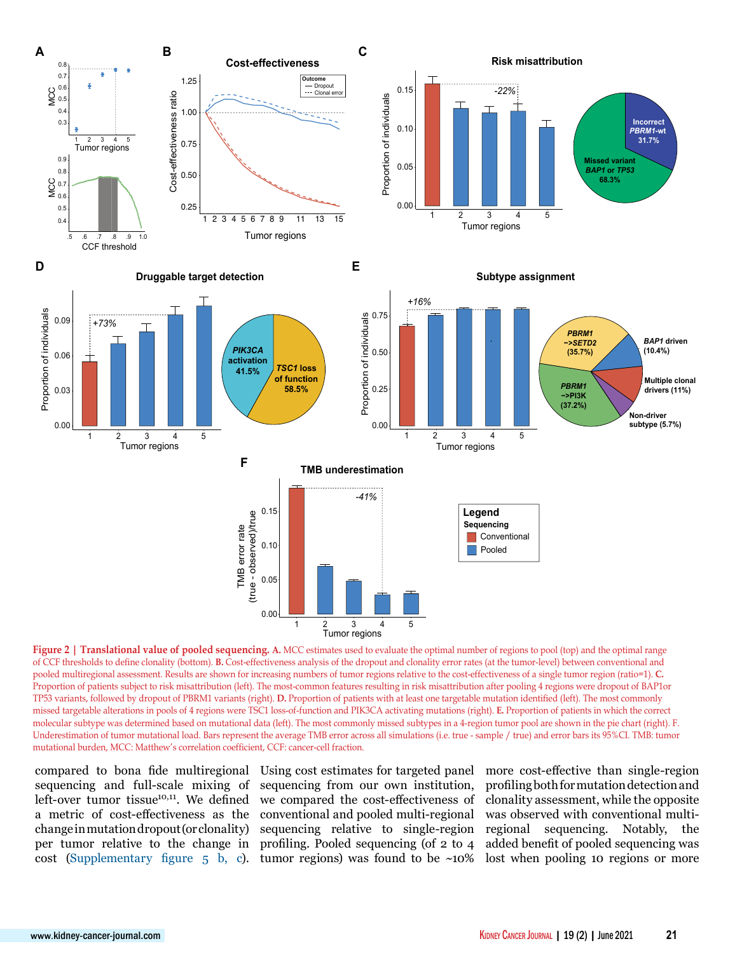

**Figure 2** | Translational value of pooled sequencing. A. MCC estimates used to evaluate the optimal number of regions to pool (top) and the optimal range of CCF thresholds to define clonality (bottom). **B.** Cost-effectiveness analysis of the dropout and clonality error rates (at the tumor-level) between conventional and pooled multiregional assessment. Results are shown for increasing numbers of tumor regions relative to the cost-effectiveness of a single tumor region (ratio=1). **C.** Proportion of patients subject to risk misattribution (left). The most-common features resulting in risk misattribution after pooling 4 regions were dropout of BAP1or TP53 variants, followed by dropout of PBRM1 variants (right). **D.** Proportion of patients with at least one targetable mutation identified (left). The most commonly missed targetable alterations in pools of 4 regions were TSC1 loss-of-function and PIK3CA activating mutations (right). **E.** Proportion of patients in which the correct molecular subtype was determined based on mutational data (left). The most commonly missed subtypes in a 4-region tumor pool are shown in the pie chart (right). F. Underestimation of tumor mutational load. Bars represent the average TMB error across all simulations (i.e. true - sample / true) and error bars its 95%CI. TMB: tumor mutational burden, MCC: Matthew's correlation coefficient, CCF: cancer-cell fraction.

sequencing and full-scale mixing of sequencing from our own institution, left-over tumor tissue<sup>10,11</sup>. We defined we compared the cost-effectiveness of a metric of cost-effectiveness as the conventional and pooled multi-regional was observed with conventional multi-

compared to bona fide multiregional Using cost estimates for targeted panel more cost-effective than single-region change in mutation dropout (or clonality) sequencing relative to single-region regional sequencing. Notably, the per tumor relative to the change in profiling. Pooled sequencing (of 2 to 4 added benefit of pooled sequencing was cost (Supplementary figure  $5\,$  b, c). tumor regions) was found to be  $~10\%$  lost when pooling 10 regions or more profiling both for mutation detection and clonality assessment, while the opposite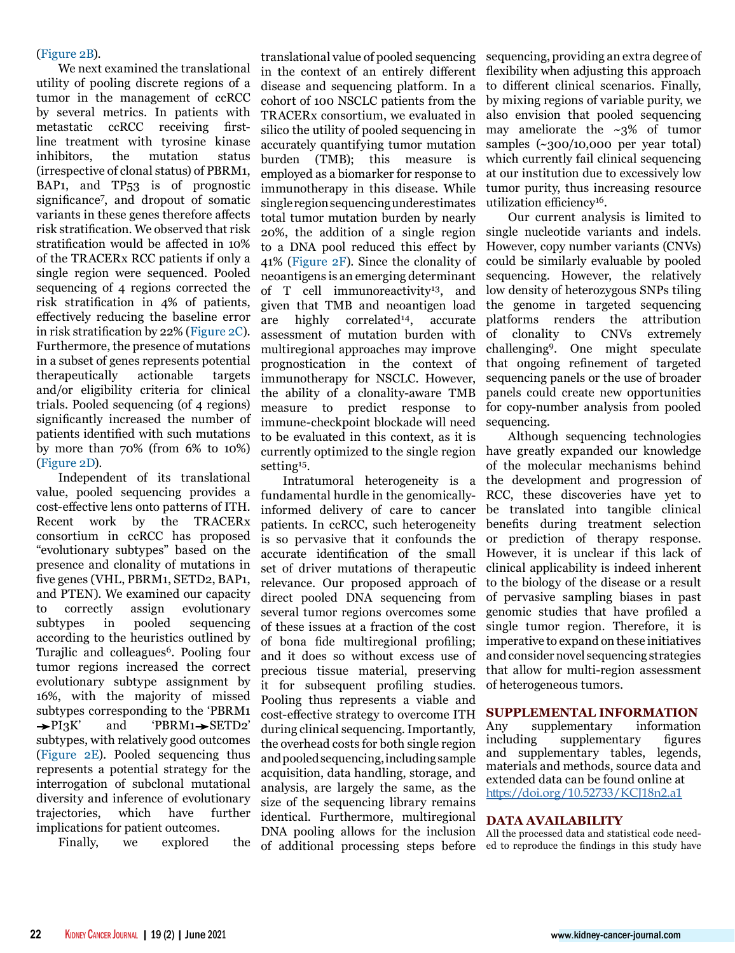# (Figure 2B).

We next examined the translational utility of pooling discrete regions of a tumor in the management of ccRCC by several metrics. In patients with metastatic ccRCC receiving firstline treatment with tyrosine kinase inhibitors, the mutation status (irrespective of clonal status) of PBRM1, BAP1, and TP53 is of prognostic significance<sup>7</sup> , and dropout of somatic variants in these genes therefore affects risk stratification. We observed that risk stratification would be affected in 10% of the TRACERx RCC patients if only a single region were sequenced. Pooled sequencing of 4 regions corrected the risk stratification in 4% of patients, effectively reducing the baseline error in risk stratification by 22% (Figure 2C). Furthermore, the presence of mutations in a subset of genes represents potential therapeutically actionable targets and/or eligibility criteria for clinical trials. Pooled sequencing (of 4 regions) significantly increased the number of patients identified with such mutations by more than 70% (from 6% to 10%) (Figure 2D).

Independent of its translational value, pooled sequencing provides a cost-effective lens onto patterns of ITH. Recent work by the TRACERx consortium in ccRCC has proposed "evolutionary subtypes" based on the presence and clonality of mutations in five genes (VHL, PBRM1, SETD2, BAP1, and PTEN). We examined our capacity to correctly assign evolutionary subtypes in pooled sequencing according to the heuristics outlined by Turajlic and colleagues<sup>6</sup>. Pooling four tumor regions increased the correct evolutionary subtype assignment by 16%, with the majority of missed subtypes corresponding to the 'PBRM1  $\rightarrow$ PI3K' and 'PBRM1 $\rightarrow$ SETD2' subtypes, with relatively good outcomes (Figure 2E). Pooled sequencing thus represents a potential strategy for the interrogation of subclonal mutational diversity and inference of evolutionary trajectories, which have further implications for patient outcomes.

Finally, we explored the

translational value of pooled sequencing sequencing, providing an extra degree of in the context of an entirely different disease and sequencing platform. In a cohort of 100 NSCLC patients from the TRACERx consortium, we evaluated in silico the utility of pooled sequencing in accurately quantifying tumor mutation burden (TMB); this measure is employed as a biomarker for response to immunotherapy in this disease. While single region sequencing underestimates total tumor mutation burden by nearly 20%, the addition of a single region to a DNA pool reduced this effect by 41% (Figure 2F). Since the clonality of neoantigens is an emerging determinant of  $T$  cell immunoreactivity<sup>13</sup>, and given that TMB and neoantigen load are highly correlated<sup>14</sup>, accurate assessment of mutation burden with multiregional approaches may improve prognostication in the context of immunotherapy for NSCLC. However, the ability of a clonality-aware TMB measure to predict response to immune-checkpoint blockade will need to be evaluated in this context, as it is currently optimized to the single region setting<sup>15</sup>.

Intratumoral heterogeneity is a fundamental hurdle in the genomicallyinformed delivery of care to cancer patients. In ccRCC, such heterogeneity is so pervasive that it confounds the accurate identification of the small set of driver mutations of therapeutic relevance. Our proposed approach of direct pooled DNA sequencing from several tumor regions overcomes some of these issues at a fraction of the cost of bona fide multiregional profiling; and it does so without excess use of precious tissue material, preserving it for subsequent profiling studies. Pooling thus represents a viable and cost-effective strategy to overcome ITH during clinical sequencing. Importantly, the overhead costs for both single region and pooled sequencing, including sample acquisition, data handling, storage, and analysis, are largely the same, as the size of the sequencing library remains identical. Furthermore, multiregional DNA pooling allows for the inclusion of additional processing steps before

flexibility when adjusting this approach to different clinical scenarios. Finally, by mixing regions of variable purity, we also envision that pooled sequencing may ameliorate the  $\sim 3\%$  of tumor samples  $(\sim 300/10,000$  per year total) which currently fail clinical sequencing at our institution due to excessively low tumor purity, thus increasing resource utilization efficiency<sup>16</sup>.

Our current analysis is limited to single nucleotide variants and indels. However, copy number variants (CNVs) could be similarly evaluable by pooled sequencing. However, the relatively low density of heterozygous SNPs tiling the genome in targeted sequencing platforms renders the attribution of clonality to CNVs extremely challenging9. One might speculate that ongoing refinement of targeted sequencing panels or the use of broader panels could create new opportunities for copy-number analysis from pooled sequencing.

Although sequencing technologies have greatly expanded our knowledge of the molecular mechanisms behind the development and progression of RCC, these discoveries have yet to be translated into tangible clinical benefits during treatment selection or prediction of therapy response. However, it is unclear if this lack of clinical applicability is indeed inherent to the biology of the disease or a result of pervasive sampling biases in past genomic studies that have profiled a single tumor region. Therefore, it is imperative to expand on these initiatives and consider novel sequencing strategies that allow for multi-region assessment of heterogeneous tumors.

# **SUPPLEMENTAL INFORMATION**<br>Any supplementary information

Any supplementary including supplementary figures and supplementary tables, legends, materials and methods, source data and extended data can be found online at https://doi.org/10.52733/KCJ18n2.a1

### **DATA AVAILABILITY**

All the processed data and statistical code needed to reproduce the findings in this study have